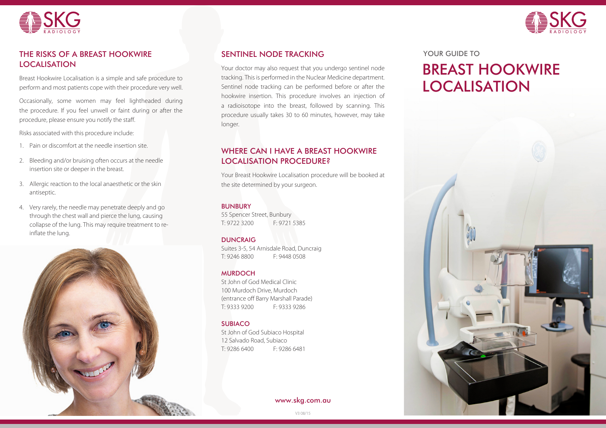



## THE RISKS OF A BREAST HOOKWIRE THE SENTINEL NODE TRACKING TO THE RISKS OF A BREAST HOOKWIRE LOCALISATION

Breast Hookwire Localisation is a simple and safe procedure to perform and most patients cope with their procedure very well.

Occasionally, some women may feel lightheaded during the procedure. If you feel unwell or faint during or after the procedure, please ensure you notify the staff.

Risks associated with this procedure include:

- 1. Pain or discomfort at the needle insertion site.
- 2. Bleeding and/or bruising often occurs at the needle insertion site or deeper in the breast.
- 3. Allergic reaction to the local anaesthetic or the skin antiseptic.
- 4. Very rarely, the needle may penetrate deeply and go through the chest wall and pierce the lung, causing collapse of the lung. This may require treatment to reinflate the lung.



# SENTINEL NODE TRACKING

Your doctor may also request that you undergo sentinel node tracking. This is performed in the Nuclear Medicine department. Sentinel node tracking can be performed before or after the hookwire insertion. This procedure involves an injection of a radioisotope into the breast, followed by scanning. This procedure usually takes 30 to 60 minutes, however, may take longer.

# WHERE CAN I HAVE A BREAST HOOKWIRE LOCALISATION PROCEDURE?

Your Breast Hookwire Localisation procedure will be booked at the site determined by your surgeon.

### BUNBURY

55 Spencer Street, Bunbury T: 9722 3200 F: 9721 5385

### **DUNCRAIG**

Suites 3-5, 54 Arnisdale Road, Duncraig T: 9246 8800 F: 9448 0508

### MURDOCH

St John of God Medical Clinic 100 Murdoch Drive, Murdoch (entrance off Barry Marshall Parade) T: 9333 9200 F: 9333 9286

### SUBIACO

St John of God Subiaco Hospital 12 Salvado Road, Subiaco T: 9286 6400 F: 9286 6481

www.skg.com.au

# BREAST HOOKWIRE LOCALISATION